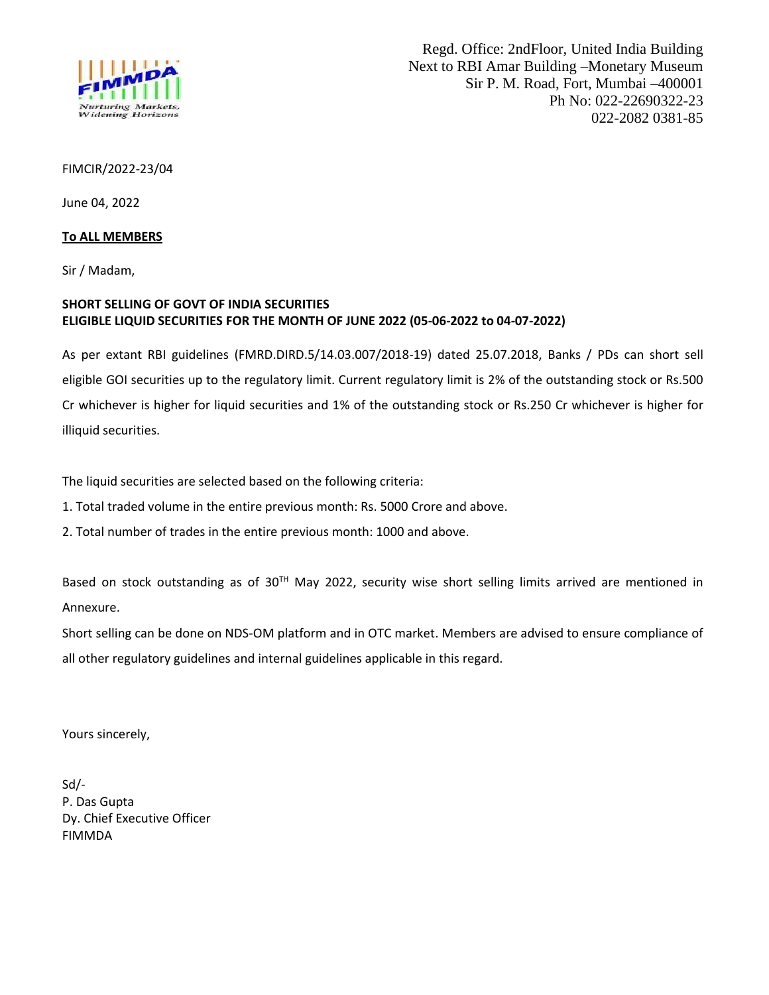

## FIMCIR/2022-23/04

June 04, 2022

## **To ALL MEMBERS**

Sir / Madam,

## **SHORT SELLING OF GOVT OF INDIA SECURITIES ELIGIBLE LIQUID SECURITIES FOR THE MONTH OF JUNE 2022 (05-06-2022 to 04-07-2022)**

As per extant RBI guidelines (FMRD.DIRD.5/14.03.007/2018-19) dated 25.07.2018, Banks / PDs can short sell eligible GOI securities up to the regulatory limit. Current regulatory limit is 2% of the outstanding stock or Rs.500 Cr whichever is higher for liquid securities and 1% of the outstanding stock or Rs.250 Cr whichever is higher for illiquid securities.

The liquid securities are selected based on the following criteria:

1. Total traded volume in the entire previous month: Rs. 5000 Crore and above.

2. Total number of trades in the entire previous month: 1000 and above.

Based on stock outstanding as of 30<sup>TH</sup> May 2022, security wise short selling limits arrived are mentioned in Annexure.

Short selling can be done on NDS-OM platform and in OTC market. Members are advised to ensure compliance of all other regulatory guidelines and internal guidelines applicable in this regard.

Yours sincerely,

Sd/- P. Das Gupta Dy. Chief Executive Officer FIMMDA